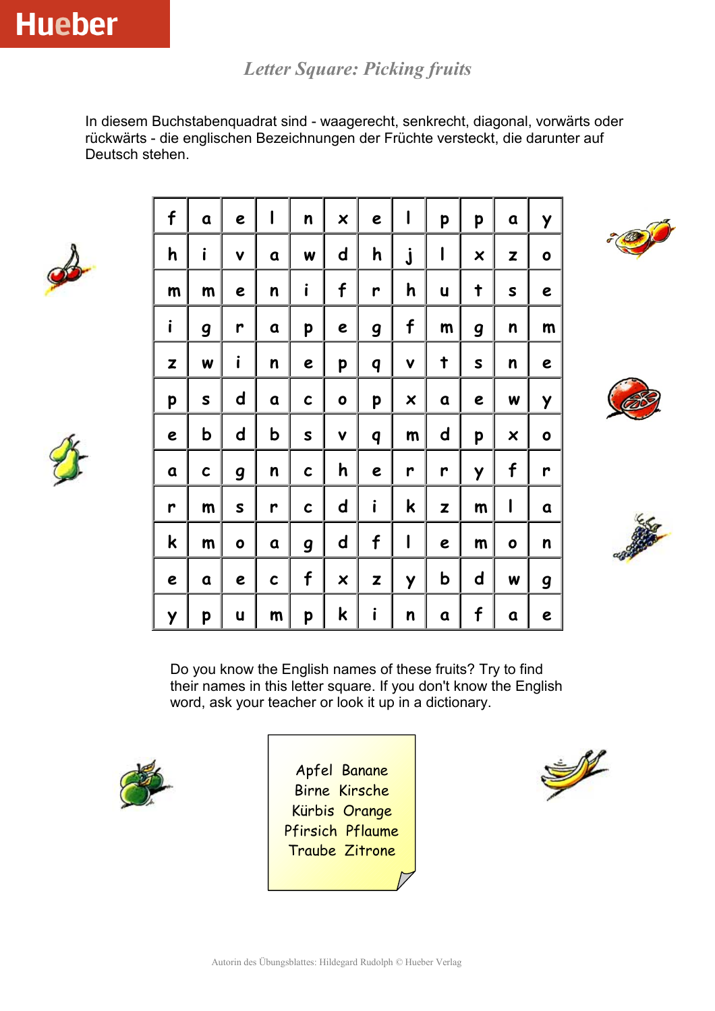*Letter Square: Picking fruits*

In diesem Buchstabenquadrat sind - waagerecht, senkrecht, diagonal, vorwärts oder rückwärts - die englischen Bezeichnungen der Früchte versteckt, die darunter auf Deutsch stehen.





| f            | a           | e                | ı           | n | $\boldsymbol{\mathsf{x}}$ | e | I                         | p           | p                         | a | Y         |
|--------------|-------------|------------------|-------------|---|---------------------------|---|---------------------------|-------------|---------------------------|---|-----------|
| h            | i           | V                | a           | W | $\mathsf{d}$              | h | j                         | I           | $\boldsymbol{\mathsf{x}}$ | Z | $\bullet$ |
| m            | m           | e                | n           | i | f                         | r | h                         | U           | t                         | S | e         |
| $\mathbf{i}$ | g           | r                | a           | p | e                         | g | f                         | m           | g                         | n | m         |
| Z            | W           | i                | n           | e | p                         | q | V                         | $\ddagger$  | S                         | n | e         |
| p            | S           | $\mathbf d$      | a           | C | 0                         | p | $\boldsymbol{\mathsf{x}}$ | a           | e                         | W | Y         |
| e            | b           | $\mathsf{d}$     | b           | S | V                         | q | m                         | $\mathbf d$ | p                         | × | 0         |
| a            | C           | $\boldsymbol{g}$ | n           | C | h                         | e | r                         | r           | Y                         | f | r         |
| r            | $\mathsf m$ | S                | r           | C | $\mathsf{d}$              | i | k                         | Z           | $\mathsf m$               | J | a         |
| k            | m           | $\bullet$        | a           | 9 | d                         | f | I                         | e           | $\mathsf m$               | 0 | n         |
| e            | a           | e                | $\mathbf c$ | f | $\boldsymbol{\mathsf{x}}$ | Z | Y                         | b           | $\mathsf{d}$              | W | g         |
| Y            | p           | U                | m           | p | k                         | ı | n                         | a           | f                         | a | e         |







Do you know the English names of these fruits? Try to find their names in this letter square. If you don't know the English word, ask your teacher or look it up in a dictionary.



Apfel Banane Birne Kirsche Kürbis Orange Pfirsich Pflaume Traube Zitrone